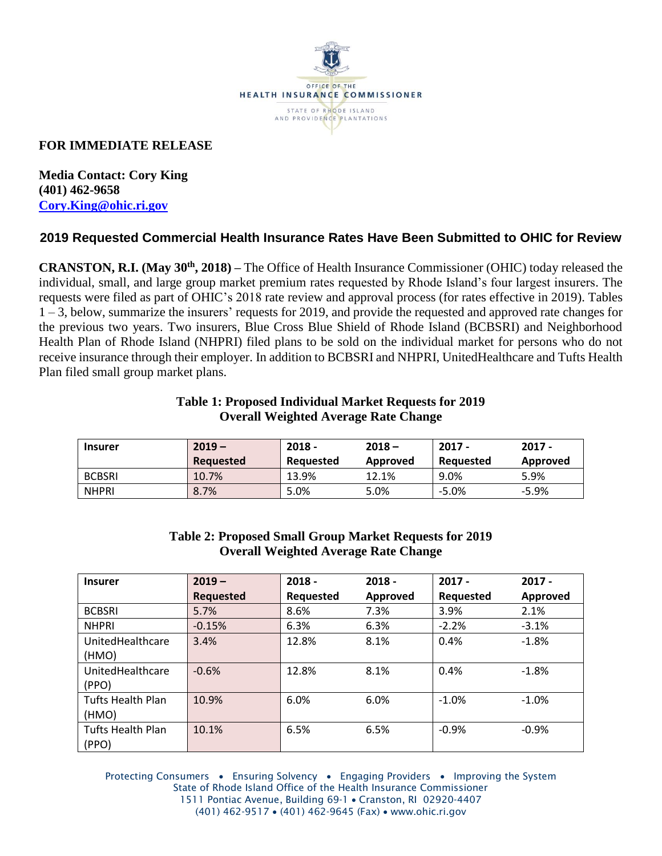

# **FOR IMMEDIATE RELEASE**

**Media Contact: Cory King (401) 462-9658 [Cory.King@ohic.ri.gov](mailto:Cory.King@ohic.ri.gov)**

# **2019 Requested Commercial Health Insurance Rates Have Been Submitted to OHIC for Review**

**CRANSTON, R.I. (May 30th, 2018) –** The Office of Health Insurance Commissioner (OHIC) today released the individual, small, and large group market premium rates requested by Rhode Island's four largest insurers. The requests were filed as part of OHIC's 2018 rate review and approval process (for rates effective in 2019). Tables 1 – 3, below, summarize the insurers' requests for 2019, and provide the requested and approved rate changes for the previous two years. Two insurers, Blue Cross Blue Shield of Rhode Island (BCBSRI) and Neighborhood Health Plan of Rhode Island (NHPRI) filed plans to be sold on the individual market for persons who do not receive insurance through their employer. In addition to BCBSRI and NHPRI, UnitedHealthcare and Tufts Health Plan filed small group market plans.

#### **Table 1: Proposed Individual Market Requests for 2019 Overall Weighted Average Rate Change**

| <b>Insurer</b> | $2019 -$<br><b>Requested</b> | $2018 -$<br>Reauested | $2018 -$<br>Approved | $2017 -$<br>Reauested | $2017 -$<br>Approved |
|----------------|------------------------------|-----------------------|----------------------|-----------------------|----------------------|
| <b>BCBSRI</b>  | 10.7%                        | 13.9%                 | 12.1%                | 9.0%                  | 5.9%                 |
| <b>NHPRI</b>   | 8.7%                         | 5.0%                  | 5.0%                 | $-5.0%$               | $-5.9%$              |

### **Table 2: Proposed Small Group Market Requests for 2019 Overall Weighted Average Rate Change**

| <b>Insurer</b>           | $2019 -$         | $2018 -$  | $2018 -$ | $2017 -$  | $2017 -$ |
|--------------------------|------------------|-----------|----------|-----------|----------|
|                          | <b>Requested</b> | Requested | Approved | Requested | Approved |
| <b>BCBSRI</b>            | 5.7%             | 8.6%      | 7.3%     | 3.9%      | 2.1%     |
| <b>NHPRI</b>             | $-0.15%$         | 6.3%      | 6.3%     | $-2.2%$   | $-3.1%$  |
| UnitedHealthcare         | 3.4%             | 12.8%     | 8.1%     | 0.4%      | $-1.8%$  |
| (HMO)                    |                  |           |          |           |          |
| UnitedHealthcare         | $-0.6%$          | 12.8%     | 8.1%     | 0.4%      | $-1.8%$  |
| (PPO)                    |                  |           |          |           |          |
| <b>Tufts Health Plan</b> | 10.9%            | 6.0%      | 6.0%     | $-1.0%$   | $-1.0%$  |
| (HMO)                    |                  |           |          |           |          |
| <b>Tufts Health Plan</b> | 10.1%            | 6.5%      | 6.5%     | $-0.9%$   | $-0.9%$  |
| (PPO)                    |                  |           |          |           |          |

Protecting Consumers • Ensuring Solvency • Engaging Providers • Improving the System State of Rhode Island Office of the Health Insurance Commissioner 1511 Pontiac Avenue, Building 69-1 • Cranston, RI 02920-4407 (401) 462-9517 • (401) 462-9645 (Fax) • www.ohic.ri.gov